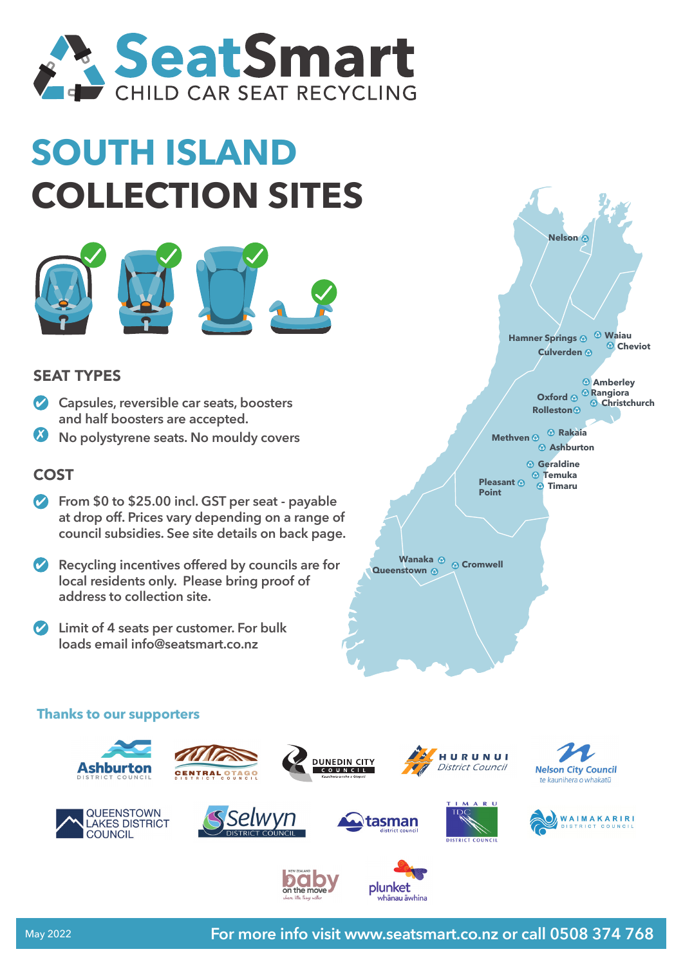

## **SOUTH ISLAND COLLECTION SITES**



## SEAT TYPES

- **Capsules, reversible car seats, boosters and half boosters are accepted.**
- **No polystyrene seats. No mouldy covers**

## COST

- **P** From \$0 to \$25.00 incl. GST per seat payable **at drop off. Prices vary depending on a range of council subsidies. See site details on back page.**
- **Recycling incentives offered by councils are for local residents only. Please bring proof of address to collection site.**
- **Limit of 4 seats per customer. For bulk loads email info@seatsmart.co.nz**



**Timaru Pleasant**

**Point**

**COMPONGITY AND MANAGE COMPONENT CONCRETENCE CONCRETE A** 

## **Thanks to our supporters**